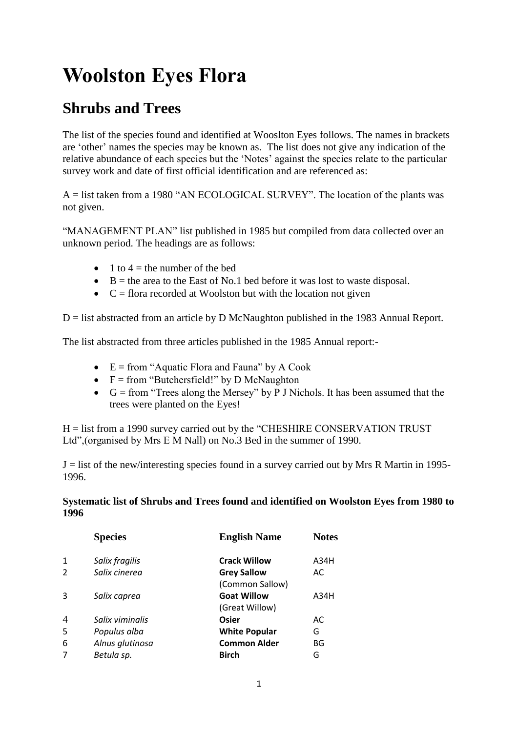## **Woolston Eyes Flora**

## **Shrubs and Trees**

The list of the species found and identified at Wooslton Eyes follows. The names in brackets are 'other' names the species may be known as. The list does not give any indication of the relative abundance of each species but the 'Notes' against the species relate to the particular survey work and date of first official identification and are referenced as:

A = list taken from a 1980 "AN ECOLOGICAL SURVEY". The location of the plants was not given.

"MANAGEMENT PLAN" list published in 1985 but compiled from data collected over an unknown period. The headings are as follows:

- $\bullet$  1 to 4 = the number of the bed
- $\bullet$  B = the area to the East of No.1 bed before it was lost to waste disposal.
- $\bullet$   $C =$  flora recorded at Woolston but with the location not given

 $D =$  list abstracted from an article by D McNaughton published in the 1983 Annual Report.

The list abstracted from three articles published in the 1985 Annual report:-

- $\bullet$  E = from "Aquatic Flora and Fauna" by A Cook
- $\bullet$  F = from "Butchersfield!" by D McNaughton
- G = from "Trees along the Mersey" by P J Nichols. It has been assumed that the trees were planted on the Eyes!

H = list from a 1990 survey carried out by the "CHESHIRE CONSERVATION TRUST Ltd",(organised by Mrs E M Nall) on No.3 Bed in the summer of 1990.

 $J =$  list of the new/interesting species found in a survey carried out by Mrs R Martin in 1995-1996.

## **Systematic list of Shrubs and Trees found and identified on Woolston Eyes from 1980 to 1996**

|                | <b>Species</b>  | <b>English Name</b>  | <b>Notes</b> |
|----------------|-----------------|----------------------|--------------|
| 1              | Salix fragilis  | <b>Crack Willow</b>  | A34H         |
| 2              | Salix cinerea   | <b>Grey Sallow</b>   | AC           |
|                |                 | (Common Sallow)      |              |
| 3              | Salix caprea    | <b>Goat Willow</b>   | A34H         |
|                |                 | (Great Willow)       |              |
| $\overline{4}$ | Salix viminalis | Osier                | AC           |
| 5              | Populus alba    | <b>White Popular</b> | G            |
| 6              | Alnus glutinosa | <b>Common Alder</b>  | BG           |
| 7              | Betula sp.      | <b>Birch</b>         | G            |